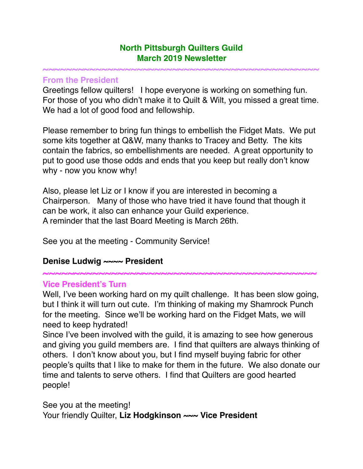#### **North Pittsburgh Quilters Guild March 2019 Newsletter**

**~~~~~~~~~~~~~~~~~~~~~~~~~~~~~~~~~~~~~~~~~~~~~~~**

#### **From the President**

Greetings fellow quilters! I hope everyone is working on something fun. For those of you who didn't make it to Quilt & Wilt, you missed a great time. We had a lot of good food and fellowship.

Please remember to bring fun things to embellish the Fidget Mats. We put some kits together at Q&W, many thanks to Tracey and Betty. The kits contain the fabrics, so embellishments are needed. A great opportunity to put to good use those odds and ends that you keep but really don't know why - now you know why!

Also, please let Liz or I know if you are interested in becoming a Chairperson. Many of those who have tried it have found that though it can be work, it also can enhance your Guild experience. A reminder that the last Board Meeting is March 26th.

See you at the meeting - Community Service!

### **Denise Ludwig ~~~~ President**

**~~~~~~~~~~~~~~~~~~~~~~~~~~~~~~~~~~~~~~~~~~~~**

#### **Vice President's Turn**

Well, I've been working hard on my quilt challenge. It has been slow going, but I think it will turn out cute. I'm thinking of making my Shamrock Punch for the meeting. Since we'll be working hard on the Fidget Mats, we will need to keep hydrated!

Since I've been involved with the guild, it is amazing to see how generous and giving you guild members are. I find that quilters are always thinking of others. I don't know about you, but I find myself buying fabric for other people's quilts that I like to make for them in the future. We also donate our time and talents to serve others. I find that Quilters are good hearted people!

See you at the meeting! Your friendly Quilter, Liz Hodgkinson ~~~ Vice President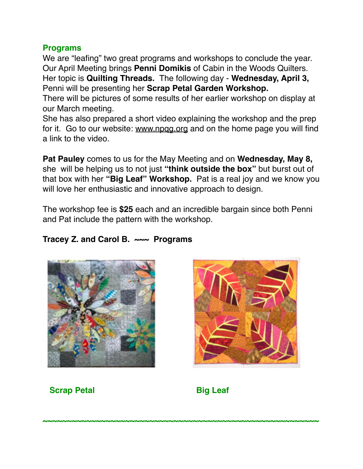## **Programs**

We are "leafing" two great programs and workshops to conclude the year. Our April Meeting brings **Penni Domikis** of Cabin in the Woods Quilters. Her topic is **Quilting Threads.** The following day - **Wednesday, April 3,**  Penni will be presenting her **Scrap Petal Garden Workshop.**

There will be pictures of some results of her earlier workshop on display at our March meeting.

She has also prepared a short video explaining the workshop and the prep for it. Go to our website: [www.npqg.org](http://www.npqg.org) and on the home page you will find a link to the video.

**Pat Pauley** comes to us for the May Meeting and on **Wednesday, May 8,**  she will be helping us to not just **"think outside the box"** but burst out of that box with her **"Big Leaf" Workshop.** Pat is a real joy and we know you will love her enthusiastic and innovative approach to design.

The workshop fee is **\$25** each and an incredible bargain since both Penni and Pat include the pattern with the workshop.

# **Tracey Z. and Carol B. ~~~ Programs**





**Scrap Petal Big Leaf** 

**~~~~~~~~~~~~~~~~~~~~~~~~~~~~~~~~~~~~~~~~~~~~~~~~~~~~~~~~~**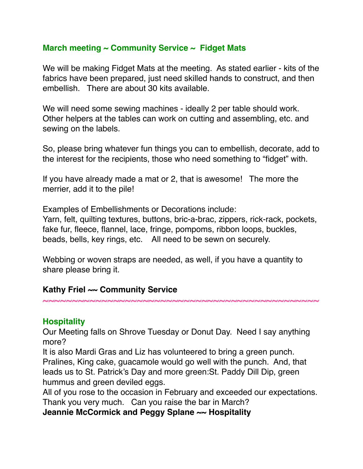## **March meeting ~ Community Service ~ Fidget Mats**

We will be making Fidget Mats at the meeting. As stated earlier - kits of the fabrics have been prepared, just need skilled hands to construct, and then embellish. There are about 30 kits available.

We will need some sewing machines - ideally 2 per table should work. Other helpers at the tables can work on cutting and assembling, etc. and sewing on the labels.

So, please bring whatever fun things you can to embellish, decorate, add to the interest for the recipients, those who need something to "fidget" with.

If you have already made a mat or 2, that is awesome! The more the merrier, add it to the pile!

Examples of Embellishments or Decorations include:

Yarn, felt, quilting textures, buttons, bric-a-brac, zippers, rick-rack, pockets, fake fur, fleece, flannel, lace, fringe, pompoms, ribbon loops, buckles, beads, bells, key rings, etc. All need to be sewn on securely.

Webbing or woven straps are needed, as well, if you have a quantity to share please bring it.

### **Kathy Friel ~~ Community Service**

**Hospitality**

Our Meeting falls on Shrove Tuesday or Donut Day. Need I say anything more?

**~~~~~~~~~~~~~~~~~~~~~~~~~~~~~~~~~~~~~~~~~~~~~~~**

It is also Mardi Gras and Liz has volunteered to bring a green punch. Pralines, King cake, guacamole would go well with the punch. And, that leads us to St. Patrick's Day and more green:St. Paddy Dill Dip, green hummus and green deviled eggs.

All of you rose to the occasion in February and exceeded our expectations. Thank you very much. Can you raise the bar in March?

**Jeannie McCormick and Peggy Splane ~~ Hospitality**